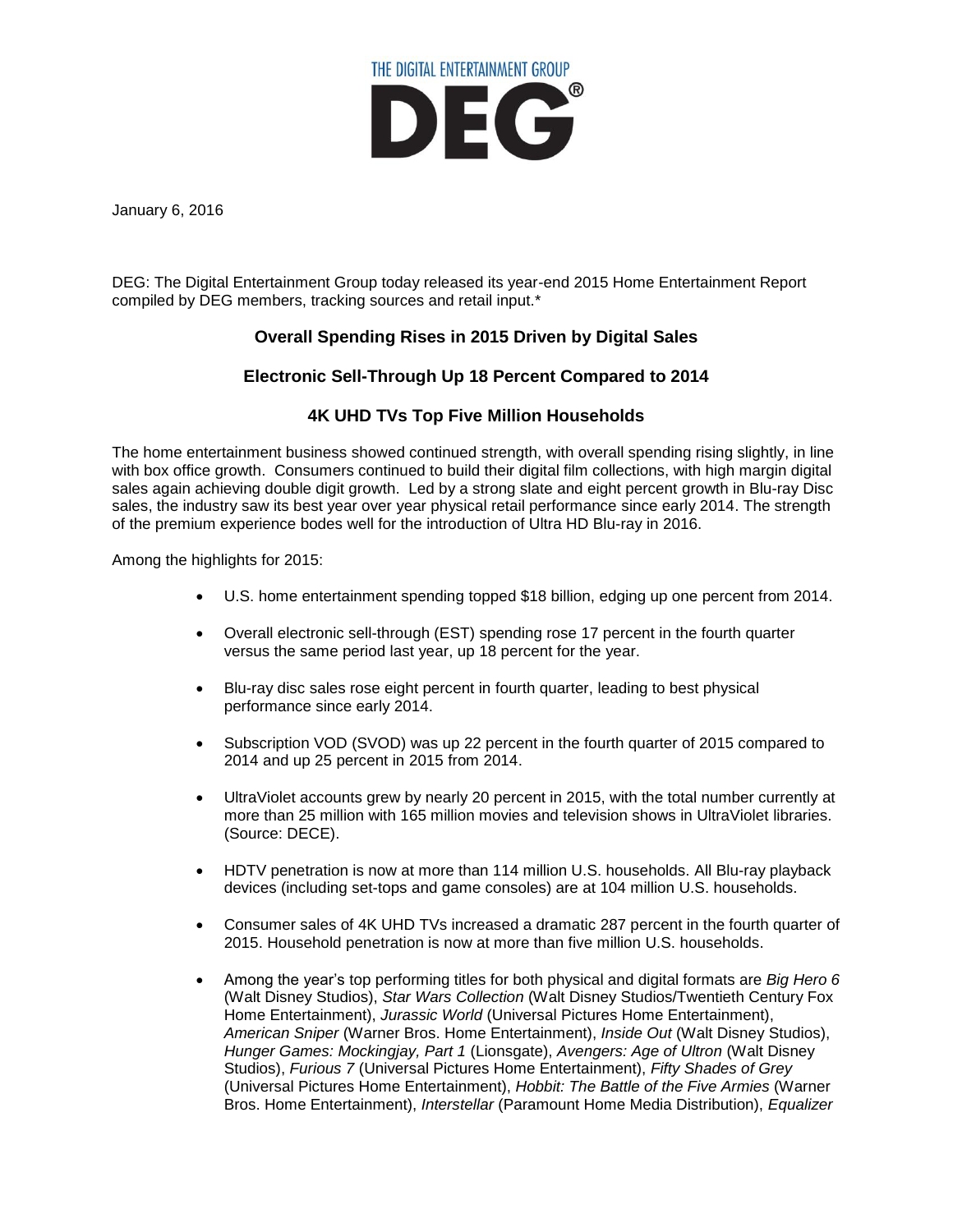

January 6, 2016

DEG: The Digital Entertainment Group today released its year-end 2015 Home Entertainment Report compiled by DEG members, tracking sources and retail input.\*

# **Overall Spending Rises in 2015 Driven by Digital Sales**

## **Electronic Sell-Through Up 18 Percent Compared to 2014**

## **4K UHD TVs Top Five Million Households**

The home entertainment business showed continued strength, with overall spending rising slightly, in line with box office growth. Consumers continued to build their digital film collections, with high margin digital sales again achieving double digit growth. Led by a strong slate and eight percent growth in Blu-ray Disc sales, the industry saw its best year over year physical retail performance since early 2014. The strength of the premium experience bodes well for the introduction of Ultra HD Blu-ray in 2016.

Among the highlights for 2015:

- U.S. home entertainment spending topped \$18 billion, edging up one percent from 2014.
- Overall electronic sell-through (EST) spending rose 17 percent in the fourth quarter versus the same period last year, up 18 percent for the year.
- Blu-ray disc sales rose eight percent in fourth quarter, leading to best physical performance since early 2014.
- Subscription VOD (SVOD) was up 22 percent in the fourth quarter of 2015 compared to 2014 and up 25 percent in 2015 from 2014.
- UltraViolet accounts grew by nearly 20 percent in 2015, with the total number currently at more than 25 million with 165 million movies and television shows in UltraViolet libraries. (Source: DECE).
- HDTV penetration is now at more than 114 million U.S. households. All Blu-ray playback devices (including set-tops and game consoles) are at 104 million U.S. households.
- Consumer sales of 4K UHD TVs increased a dramatic 287 percent in the fourth quarter of 2015. Household penetration is now at more than five million U.S. households.
- Among the year's top performing titles for both physical and digital formats are *Big Hero 6* (Walt Disney Studios), *Star Wars Collection* (Walt Disney Studios/Twentieth Century Fox Home Entertainment), *Jurassic World* (Universal Pictures Home Entertainment), *American Sniper* (Warner Bros. Home Entertainment), *Inside Out* (Walt Disney Studios), *Hunger Games: Mockingjay, Part 1* (Lionsgate), *Avengers: Age of Ultron* (Walt Disney Studios), *Furious 7* (Universal Pictures Home Entertainment), *Fifty Shades of Grey* (Universal Pictures Home Entertainment), *Hobbit: The Battle of the Five Armies* (Warner Bros. Home Entertainment), *Interstellar* (Paramount Home Media Distribution), *Equalizer*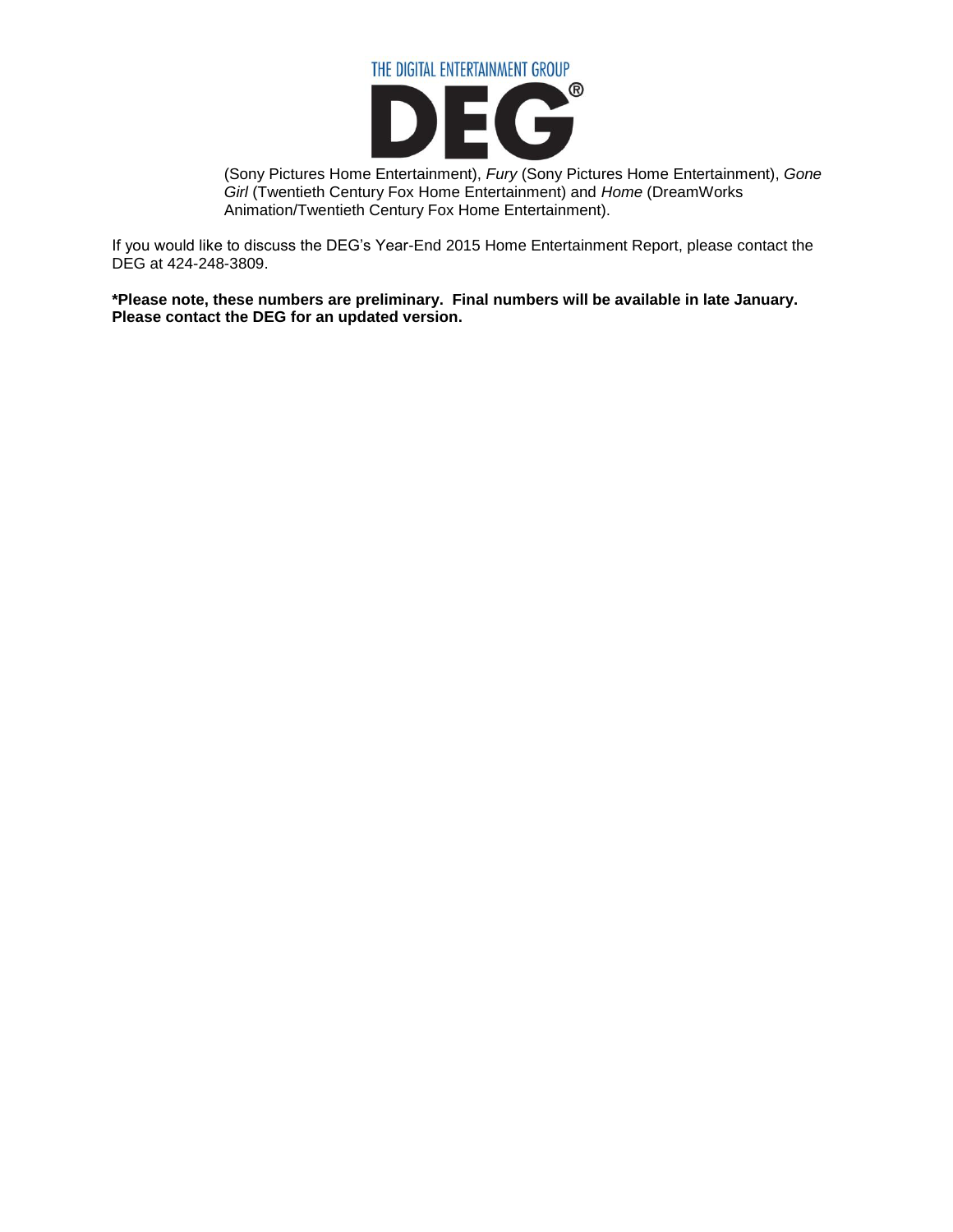

(Sony Pictures Home Entertainment), *Fury* (Sony Pictures Home Entertainment), *Gone Girl* (Twentieth Century Fox Home Entertainment) and *Home* (DreamWorks Animation/Twentieth Century Fox Home Entertainment).

If you would like to discuss the DEG's Year-End 2015 Home Entertainment Report, please contact the DEG at 424-248-3809.

**\*Please note, these numbers are preliminary. Final numbers will be available in late January. Please contact the DEG for an updated version.**